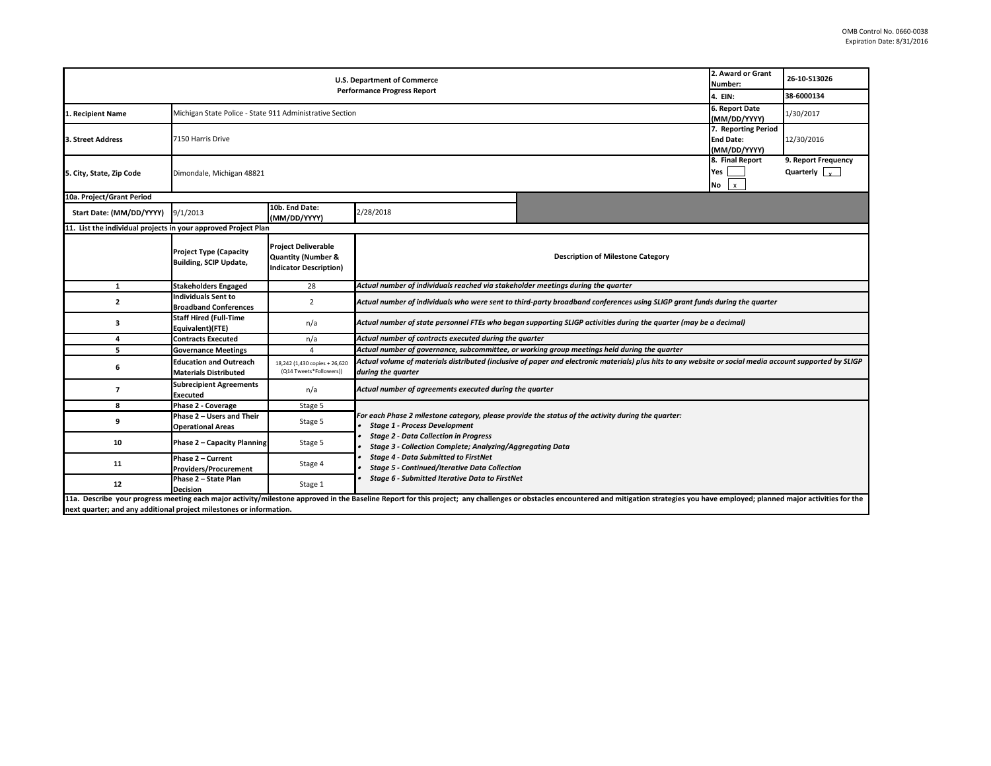| <b>U.S. Department of Commerce</b>                                  |                                                                            |                                                                                              |                                                                                                                                                                                                                                                                                                                                                                                                                         |                                                                                                                                                                                                                                | 2. Award or Grant<br>Number: | 26-10-S13026                                       |  |  |
|---------------------------------------------------------------------|----------------------------------------------------------------------------|----------------------------------------------------------------------------------------------|-------------------------------------------------------------------------------------------------------------------------------------------------------------------------------------------------------------------------------------------------------------------------------------------------------------------------------------------------------------------------------------------------------------------------|--------------------------------------------------------------------------------------------------------------------------------------------------------------------------------------------------------------------------------|------------------------------|----------------------------------------------------|--|--|
| <b>Performance Progress Report</b>                                  |                                                                            |                                                                                              |                                                                                                                                                                                                                                                                                                                                                                                                                         |                                                                                                                                                                                                                                |                              | 38-6000134                                         |  |  |
| 1. Recipient Name                                                   | 6. Report Date<br>Michigan State Police - State 911 Administrative Section |                                                                                              |                                                                                                                                                                                                                                                                                                                                                                                                                         |                                                                                                                                                                                                                                |                              | 1/30/2017                                          |  |  |
| 3. Street Address                                                   | 7150 Harris Drive                                                          |                                                                                              |                                                                                                                                                                                                                                                                                                                                                                                                                         |                                                                                                                                                                                                                                |                              | 12/30/2016                                         |  |  |
| 5. City, State, Zip Code                                            | Dimondale, Michigan 48821                                                  |                                                                                              |                                                                                                                                                                                                                                                                                                                                                                                                                         |                                                                                                                                                                                                                                |                              | 9. Report Frequency<br>Quarterly $\sqrt{\sqrt{2}}$ |  |  |
| 10a. Project/Grant Period                                           |                                                                            |                                                                                              |                                                                                                                                                                                                                                                                                                                                                                                                                         |                                                                                                                                                                                                                                |                              |                                                    |  |  |
| Start Date: (MM/DD/YYYY)                                            | 9/1/2013                                                                   | 10b. End Date:<br>(MM/DD/YYYY)                                                               | 2/28/2018                                                                                                                                                                                                                                                                                                                                                                                                               |                                                                                                                                                                                                                                |                              |                                                    |  |  |
| 11. List the individual projects in your approved Project Plan      |                                                                            |                                                                                              |                                                                                                                                                                                                                                                                                                                                                                                                                         |                                                                                                                                                                                                                                |                              |                                                    |  |  |
|                                                                     | <b>Project Type (Capacity</b><br><b>Building, SCIP Update,</b>             | <b>Project Deliverable</b><br><b>Quantity (Number &amp;</b><br><b>Indicator Description)</b> | <b>Description of Milestone Category</b>                                                                                                                                                                                                                                                                                                                                                                                |                                                                                                                                                                                                                                |                              |                                                    |  |  |
| $\mathbf{1}$                                                        | <b>Stakeholders Engaged</b>                                                | 28                                                                                           | Actual number of individuals reached via stakeholder meetings during the quarter                                                                                                                                                                                                                                                                                                                                        |                                                                                                                                                                                                                                |                              |                                                    |  |  |
| $\overline{\mathbf{c}}$                                             | <b>Individuals Sent to</b><br><b>Broadband Conferences</b>                 | $\overline{2}$                                                                               | Actual number of individuals who were sent to third-party broadband conferences using SLIGP grant funds during the quarter                                                                                                                                                                                                                                                                                              |                                                                                                                                                                                                                                |                              |                                                    |  |  |
| 3                                                                   | <b>Staff Hired (Full-Time</b><br>Equivalent)(FTE)                          | n/a                                                                                          | Actual number of state personnel FTEs who began supporting SLIGP activities during the quarter (may be a decimal)                                                                                                                                                                                                                                                                                                       |                                                                                                                                                                                                                                |                              |                                                    |  |  |
| 4                                                                   | <b>Contracts Executed</b>                                                  | n/a                                                                                          | Actual number of contracts executed during the quarter                                                                                                                                                                                                                                                                                                                                                                  |                                                                                                                                                                                                                                |                              |                                                    |  |  |
| 5                                                                   | <b>Governance Meetings</b>                                                 | 4                                                                                            | Actual number of governance, subcommittee, or working group meetings held during the quarter                                                                                                                                                                                                                                                                                                                            |                                                                                                                                                                                                                                |                              |                                                    |  |  |
| 6                                                                   | <b>Education and Outreach</b><br><b>Materials Distributed</b>              | 18,242 (1,430 copies + 26,620<br>(Q14 Tweets*Followers))                                     | Actual volume of materials distributed (inclusive of paper and electronic materials) plus hits to any website or social media account supported by SLIGP<br>during the quarter                                                                                                                                                                                                                                          |                                                                                                                                                                                                                                |                              |                                                    |  |  |
| $\overline{\phantom{a}}$                                            | <b>Subrecipient Agreements</b><br><b>Executed</b>                          | n/a                                                                                          | Actual number of agreements executed during the quarter                                                                                                                                                                                                                                                                                                                                                                 |                                                                                                                                                                                                                                |                              |                                                    |  |  |
| 8                                                                   | Phase 2 - Coverage                                                         | Stage 5                                                                                      |                                                                                                                                                                                                                                                                                                                                                                                                                         |                                                                                                                                                                                                                                |                              |                                                    |  |  |
| 9                                                                   | Phase 2 - Users and Their<br><b>Operational Areas</b>                      | Stage 5                                                                                      | For each Phase 2 milestone category, please provide the status of the activity during the quarter:<br><b>Stage 1 - Process Development</b><br><b>Stage 2 - Data Collection in Progress</b><br>Stage 3 - Collection Complete; Analyzing/Aggregating Data<br><b>Stage 4 - Data Submitted to FirstNet</b><br><b>Stage 5 - Continued/Iterative Data Collection</b><br><b>Stage 6 - Submitted Iterative Data to FirstNet</b> |                                                                                                                                                                                                                                |                              |                                                    |  |  |
| 10                                                                  | Phase 2 - Capacity Planning                                                | Stage 5                                                                                      |                                                                                                                                                                                                                                                                                                                                                                                                                         |                                                                                                                                                                                                                                |                              |                                                    |  |  |
| 11                                                                  | Phase 2 - Current<br><b>Providers/Procurement</b>                          | Stage 4                                                                                      |                                                                                                                                                                                                                                                                                                                                                                                                                         |                                                                                                                                                                                                                                |                              |                                                    |  |  |
| 12                                                                  | Phase 2 - State Plan<br><b>Decision</b>                                    | Stage 1                                                                                      |                                                                                                                                                                                                                                                                                                                                                                                                                         |                                                                                                                                                                                                                                |                              |                                                    |  |  |
| next quarter; and any additional project milestones or information. |                                                                            |                                                                                              |                                                                                                                                                                                                                                                                                                                                                                                                                         | 11a. Describe your progress meeting each major activity/milestone approved in the Baseline Report for this project; any challenges or obstacles encountered and mitigation strategies you have employed; planned major activit |                              |                                                    |  |  |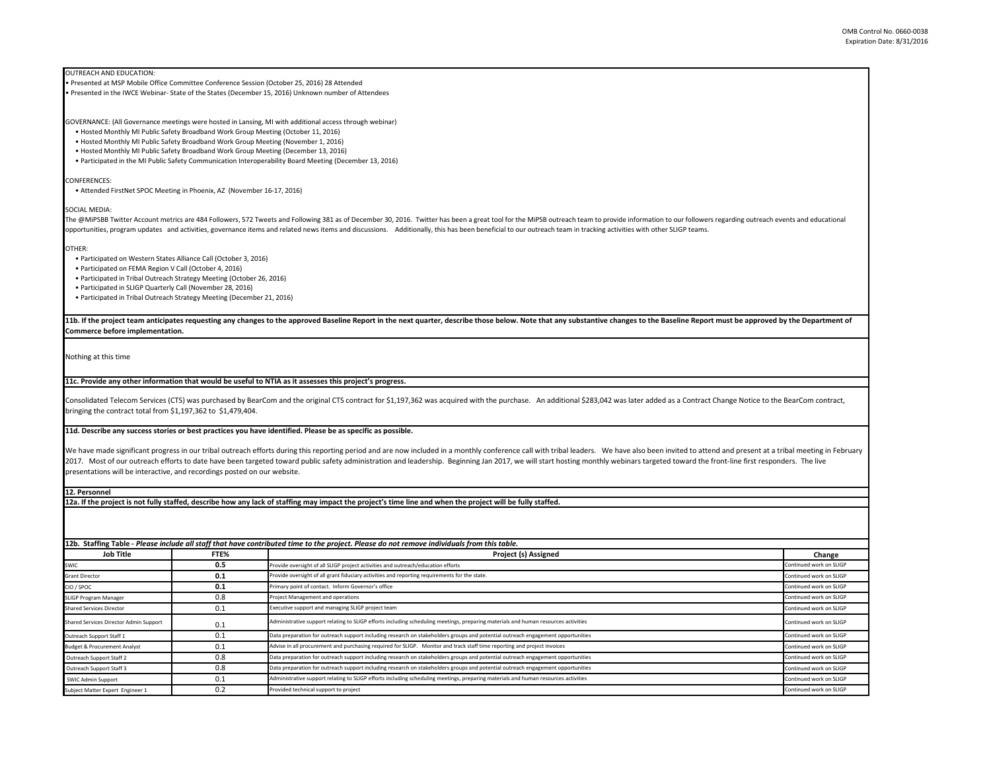OUTREACH AND EDUCATION:

• Presented at MSP Mobile Office Committee Conference Session (October 25, 2016) 28 Attended

• Presented in the IWCE Webinar- State of the States (December 15, 2016) Unknown number of Attendees

GOVERNANCE: (All Governance meetings were hosted in Lansing, MI with additional access through webinar)

• Hosted Monthly MI Public Safety Broadband Work Group Meeting (October 11, 2016)

• Hosted Monthly MI Public Safety Broadband Work Group Meeting (November 1, 2016)

• Hosted Monthly MI Public Safety Broadband Work Group Meeting (December 13, 2016)

• Participated in the MI Public Safety Communication Interoperability Board Meeting (December 13, 2016)

CONFERENCES:

• Attended FirstNet SPOC Meeting in Phoenix, AZ (November 16-17, 2016)

SOCIAL MEDIA:

The @MiPSBB Twitter Account metrics are 484 Followers. 572 Tweets and Following 381 as of December 30. 2016. Twitter has been a great tool for the MiPSB outreach team to provide information to our followers regarding outre opportunities, program updates and activities, governance items and related news items and discussions. Additionally, this has been beneficial to our outreach team in tracking activities with other SLIGP teams.

OTHER:

• Participated on Western States Alliance Call (October 3, 2016)

• Participated on FEMA Region V Call (October 4, 2016)

• Participated in Tribal Outreach Strategy Meeting (October 26, 2016)

• Participated in SLIGP Quarterly Call (November 28, 2016)

• Participated in Tribal Outreach Strategy Meeting (December 21, 2016)

11b. If the project team anticipates requesting any changes to the approved Baseline Report in the next quarter, describe those below. Note that any substantive changes to the Baseline Report must be approved by the Depart **Commerce before implementation.** 

Nothing at this time

**11c. Provide any other information that would be useful to NTIA as it assesses this project's progress.** 

Consolidated Telecom Services (CTS) was purchased by BearCom and the original CTS contract for \$1,197,362 was acquired with the purchase. An additional \$283,042 was later added as a Contract Change Notice to the BearCom co bringing the contract total from \$1,197,362 to \$1,479,404.

**11d. Describe any success stories or best practices you have identified. Please be as specific as possible.**

We have made significant progress in our tribal outreach efforts during this reporting period and are now included in a monthly conference call with tribal leaders. We have also been invited to attend and present at a trib 2017. Most of our outreach efforts to date have been targeted toward public safety administration and leadership. Beginning Jan 2017, we will start hosting monthly webinars targeted toward the front-line first responders. presentations will be interactive, and recordings posted on our website.

**12. Personnel** 

**12a. If the project is not fully staffed, describe how any lack of staffing may impact the project's time line and when the project will be fully staffed.**

**12b. Staffing Table -** *Please include all staff that have contributed time to the project. Please do not remove individuals from this table.*

| Job Title                               | FTE% | Project (s) Assigned                                                                                                                                          |  |  |  |
|-----------------------------------------|------|---------------------------------------------------------------------------------------------------------------------------------------------------------------|--|--|--|
| SWIC                                    | 0.5  | Continued work on SLIGP<br>Provide oversight of all SLIGP project activities and outreach/education efforts                                                   |  |  |  |
| <b>Grant Director</b>                   | 0.1  | Provide oversight of all grant fiduciary activities and reporting requirements for the state.<br>Continued work on SLIGP                                      |  |  |  |
| CIO / SPOC                              | 0.1  | Primary point of contact. Inform Governor's office<br>Continued work on SLIGP                                                                                 |  |  |  |
| SLIGP Program Manager                   | 0.8  | Continued work on SLIGP<br>Project Management and operations                                                                                                  |  |  |  |
| <b>Shared Services Director</b>         | 0.1  | Executive support and managing SLIGP project team                                                                                                             |  |  |  |
| Shared Services Director Admin Support  | 0.1  | Administrative support relating to SLIGP efforts including scheduling meetings, preparing materials and human resources activities                            |  |  |  |
| Outreach Support Staff 1                | 0.1  | Data preparation for outreach support including research on stakeholders groups and potential outreach engagement opportunities<br>Continued work on SLIGP    |  |  |  |
| <b>Budget &amp; Procurement Analyst</b> | 0.1  | Advise in all procurement and purchasing required for SLIGP. Monitor and track staff time reporting and project invoices<br>Continued work on SLIGP           |  |  |  |
| Outreach Support Staff 2                | 0.8  | Data preparation for outreach support including research on stakeholders groups and potential outreach engagement opportunities<br>Continued work on SLIGP    |  |  |  |
| Outreach Support Staff 3                | 0.8  | Data preparation for outreach support including research on stakeholders groups and potential outreach engagement opportunities<br>Continued work on SLIGP    |  |  |  |
| <b>SWIC Admin Support</b>               | 0.1  | Administrative support relating to SLIGP efforts including scheduling meetings, preparing materials and human resources activities<br>Continued work on SLIGP |  |  |  |
| Subject Matter Expert Engineer 1        | 0.2  | Continued work on SLIGP<br>Provided technical support to project                                                                                              |  |  |  |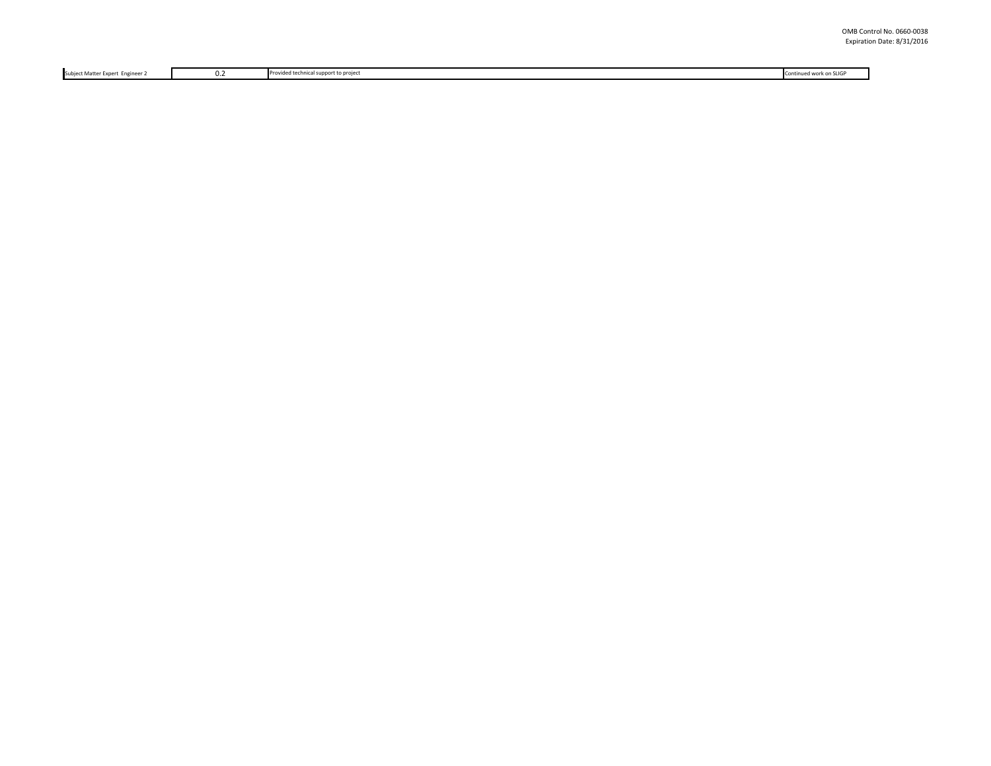Subject Matter Expert Engineer 2 0.2 Provided technical support to project Continued work on SLIGP